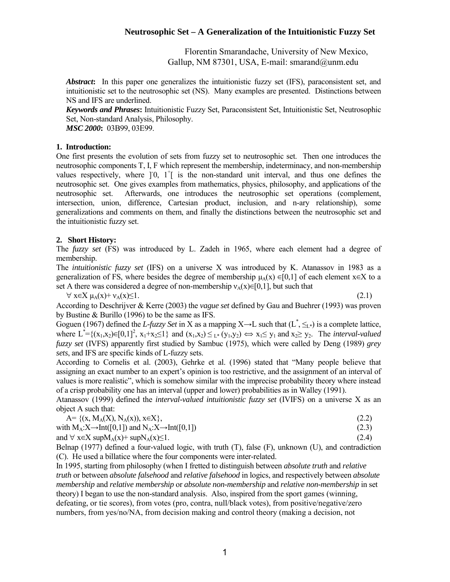# **Neutrosophic Set – A Generalization of the Intuitionistic Fuzzy Set**

Florentin Smarandache, University of New Mexico, Gallup, NM 87301, USA, E-mail: smarand@unm.edu

*Abstract***:** In this paper one generalizes the intuitionistic fuzzy set (IFS), paraconsistent set, and intuitionistic set to the neutrosophic set (NS). Many examples are presented. Distinctions between NS and IFS are underlined.

*Keywords and Phrases***:** Intuitionistic Fuzzy Set, Paraconsistent Set, Intuitionistic Set, Neutrosophic Set, Non-standard Analysis, Philosophy.

*MSC 2000***:** 03B99, 03E99.

### **1. Introduction:**

One first presents the evolution of sets from fuzzy set to neutrosophic set. Then one introduces the neutrosophic components T, I, F which represent the membership, indeterminacy, and non-membership values respectively, where  $]0, 1^{\dagger}$  is the non-standard unit interval, and thus one defines the neutrosophic set. One gives examples from mathematics, physics, philosophy, and applications of the neutrosophic set. Afterwards, one introduces the neutrosophic set operations (complement, intersection, union, difference, Cartesian product, inclusion, and n-ary relationship), some generalizations and comments on them, and finally the distinctions between the neutrosophic set and the intuitionistic fuzzy set.

# **2. Short History:**

The *fuzzy set* (FS) was introduced by L. Zadeh in 1965, where each element had a degree of membership.

The *intuitionistic fuzzy set* (IFS) on a universe X was introduced by K. Atanassov in 1983 as a generalization of FS, where besides the degree of membership  $\mu_{\alpha}(x) \in [0,1]$  of each element  $x \in X$  to a set A there was considered a degree of non-membership  $v_A(x) \in [0,1]$ , but such that

 $\forall$  x $\in$ X  $\mu$ <sub>A</sub>(x)+  $\nu$ <sub>A</sub>(x) \leq 1.

According to Deschrijver & Kerre (2003) the *vague set* defined by Gau and Buehrer (1993) was proven by Bustine & Burillo (1996) to be the same as IFS.

Goguen (1967) defined the *L*-fuzzy Set in X as a mapping  $X \to L$  such that  $(L^*, \leq_{L^*})$  is a complete lattice, where  $L^* = \{(x_1, x_2) \in [0,1]^2, x_1 + x_2 \leq 1\}$  and  $(x_1, x_2) \leq L^* (y_1, y_2) \Leftrightarrow x_1 \leq y_1$  and  $x_2 \geq y_2$ . The *interval-valued fuzzy set* (IVFS) apparently first studied by Sambuc (1975), which were called by Deng (1989) *grey sets*, and IFS are specific kinds of L-fuzzy sets.

According to Cornelis et al. (2003), Gehrke et al. (1996) stated that "Many people believe that assigning an exact number to an expert's opinion is too restrictive, and the assignment of an interval of values is more realistic", which is somehow similar with the imprecise probability theory where instead of a crisp probability one has an interval (upper and lower) probabilities as in Walley (1991).

Atanassov (1999) defined the *interval-valued intuitionistic fuzzy set* (IVIFS) on a universe X as an object A such that:

| $A = \{(x, M_A(X), N_A(x)), x \in X\},\$<br>(2.2) |
|---------------------------------------------------|
|---------------------------------------------------|

| with $M_A: X \rightarrow Int([0,1])$ and $N_A: X \rightarrow Int([0,1])$ | (2.3) |  |
|--------------------------------------------------------------------------|-------|--|
|--------------------------------------------------------------------------|-------|--|

and  $\forall x \in X \text{ supM}_A(x)$ + supN<sub>A</sub>(x)≤1. (2.4)

Belnap (1977) defined a four-valued logic, with truth (T), false (F), unknown (U), and contradiction (C). He used a billatice where the four components were inter-related.

In 1995, starting from philosophy (when I fretted to distinguish between *absolute truth* and *relative truth* or between *absolute falsehood* and *relative falsehood* in logics, and respectively between *absolute membership* and *relative membership* or *absolute non-membership* and *relative non-membership* in set theory) I began to use the non-standard analysis. Also, inspired from the sport games (winning, defeating, or tie scores), from votes (pro, contra, null/black votes), from positive/negative/zero numbers, from yes/no/NA, from decision making and control theory (making a decision, not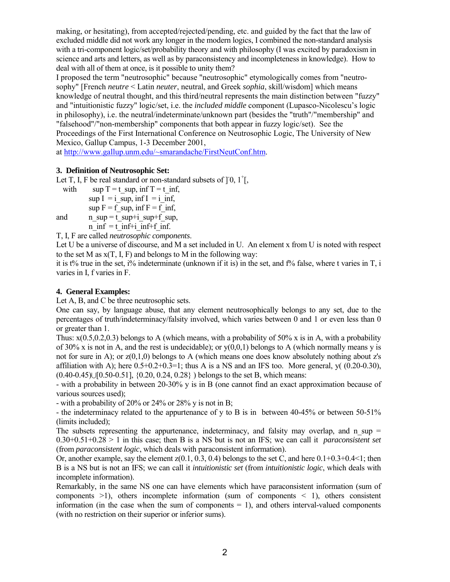making, or hesitating), from accepted/rejected/pending, etc. and guided by the fact that the law of excluded middle did not work any longer in the modern logics, I combined the non-standard analysis with a tri-component logic/set/probability theory and with philosophy (I was excited by paradoxism in science and arts and letters, as well as by paraconsistency and incompleteness in knowledge). How to deal with all of them at once, is it possible to unity them?

I proposed the term "neutrosophic" because "neutrosophic" etymologically comes from "neutrosophy" [French *neutre* < Latin *neuter*, neutral, and Greek *sophia*, skill/wisdom] which means knowledge of neutral thought, and this third/neutral represents the main distinction between "fuzzy" and "intuitionistic fuzzy" logic/set, i.e. the *included middle* component (Lupasco-Nicolescu's logic in philosophy), i.e. the neutral/indeterminate/unknown part (besides the "truth"/"membership" and "falsehood"/"non-membership" components that both appear in fuzzy logic/set). See the Proceedings of the First International Conference on Neutrosophic Logic, The University of New Mexico, Gallup Campus, 1-3 December 2001,

at http://www.gallup.unm.edu/~smarandache/FirstNeutConf.htm.

# **3. Definition of Neutrosophic Set:**

Let T, I, F be real standard or non-standard subsets of  $]0, 1^{\dagger}$ ,

- with sup  $T = t$  sup, inf  $T = t$  inf,
	- sup  $I = i$  sup, inf  $I = i$  inf,

 $\sup F = f \sup, \inf F = f \inf,$ and n sup = t\_ sup+i\_ sup+f\_ sup,

- n  $inf = t$  inf+i inf+f inf.
- T, I, F are called *neutrosophic components*.

Let U be a universe of discourse, and M a set included in U. An element x from U is noted with respect to the set M as  $x(T, I, F)$  and belongs to M in the following way:

it is t% true in the set,  $i\%$  indeterminate (unknown if it is) in the set, and t% false, where t varies in T, i varies in I, f varies in F.

# **4. General Examples:**

Let A, B, and C be three neutrosophic sets.

One can say, by language abuse, that any element neutrosophically belongs to any set, due to the percentages of truth/indeterminacy/falsity involved, which varies between 0 and 1 or even less than 0 or greater than 1.

Thus:  $x(0.5,0.2,0.3)$  belongs to A (which means, with a probability of 50% x is in A, with a probability of 30% x is not in A, and the rest is undecidable); or  $v(0,0,1)$  belongs to A (which normally means y is not for sure in A); or z(0,1,0) belongs to A (which means one does know absolutely nothing about z's affiliation with A); here  $0.5+0.2+0.3=1$ ; thus A is a NS and an IFS too. More general, y( $(0.20-0.30)$ ,  $(0.40-0.45)\cup[0.50-0.51]$ ,  $\{0.20, 0.24, 0.28\}$ ) belongs to the set B, which means:

- with a probability in between 20-30% y is in B (one cannot find an exact approximation because of various sources used);

- with a probability of 20% or 24% or 28% y is not in B;

- the indeterminacy related to the appurtenance of y to B is in between 40-45% or between 50-51% (limits included);

The subsets representing the appurtenance, indeterminacy, and falsity may overlap, and n sup  $=$ 0.30+0.51+0.28 > 1 in this case; then B is a NS but is not an IFS; we can call it *paraconsistent set* (from *paraconsistent logic*, which deals with paraconsistent information).

Or, another example, say the element  $z(0.1, 0.3, 0.4)$  belongs to the set C, and here  $0.1+0.3+0.4<1$ ; then B is a NS but is not an IFS; we can call it *intuitionistic set* (from *intuitionistic logic*, which deals with incomplete information).

Remarkably, in the same NS one can have elements which have paraconsistent information (sum of components  $>1$ ), others incomplete information (sum of components  $< 1$ ), others consistent information (in the case when the sum of components  $= 1$ ), and others interval-valued components (with no restriction on their superior or inferior sums).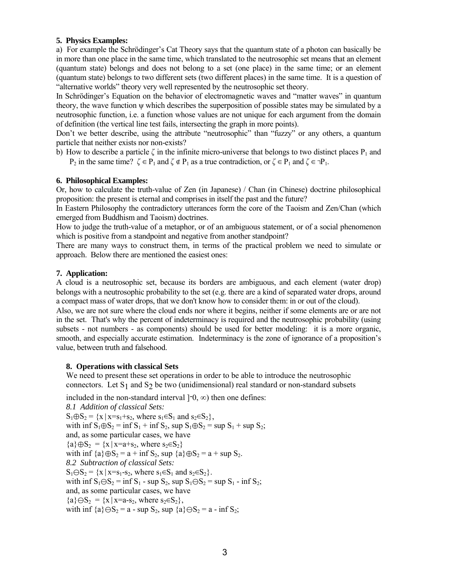### **5. Physics Examples:**

a) For example the Schrödinger's Cat Theory says that the quantum state of a photon can basically be in more than one place in the same time, which translated to the neutrosophic set means that an element (quantum state) belongs and does not belong to a set (one place) in the same time; or an element (quantum state) belongs to two different sets (two different places) in the same time. It is a question of "alternative worlds" theory very well represented by the neutrosophic set theory.

In Schrödinger's Equation on the behavior of electromagnetic waves and "matter waves" in quantum theory, the wave function  $\psi$  which describes the superposition of possible states may be simulated by a neutrosophic function, i.e. a function whose values are not unique for each argument from the domain of definition (the vertical line test fails, intersecting the graph in more points).

Don't we better describe, using the attribute "neutrosophic" than "fuzzy" or any others, a quantum particle that neither exists nor non-exists?

b) How to describe a particle  $\zeta$  in the infinite micro-universe that belongs to two distinct places  $P_1$  and  $P_2$  in the same time?  $\zeta \in P_1$  and  $\zeta \notin P_1$  as a true contradiction, or  $\zeta \in P_1$  and  $\zeta \in \neg P_1$ .

### **6. Philosophical Examples:**

Or, how to calculate the truth-value of Zen (in Japanese) / Chan (in Chinese) doctrine philosophical proposition: the present is eternal and comprises in itself the past and the future?

In Eastern Philosophy the contradictory utterances form the core of the Taoism and Zen/Chan (which emerged from Buddhism and Taoism) doctrines.

How to judge the truth-value of a metaphor, or of an ambiguous statement, or of a social phenomenon which is positive from a standpoint and negative from another standpoint?

There are many ways to construct them, in terms of the practical problem we need to simulate or approach. Below there are mentioned the easiest ones:

### **7. Application:**

A cloud is a neutrosophic set, because its borders are ambiguous, and each element (water drop) belongs with a neutrosophic probability to the set (e.g. there are a kind of separated water drops, around a compact mass of water drops, that we don't know how to consider them: in or out of the cloud).

Also, we are not sure where the cloud ends nor where it begins, neither if some elements are or are not in the set. That's why the percent of indeterminacy is required and the neutrosophic probability (using subsets - not numbers - as components) should be used for better modeling: it is a more organic, smooth, and especially accurate estimation. Indeterminacy is the zone of ignorance of a proposition's value, between truth and falsehood.

#### **8. Operations with classical Sets**

We need to present these set operations in order to be able to introduce the neutrosophic connectors. Let  $S_1$  and  $S_2$  be two (unidimensional) real standard or non-standard subsets

included in the non-standard interval  $]$ <sup>-0</sup>,  $\infty$ ) then one defines:

*8.1 Addition of classical Sets:*   $S_1 \oplus S_2 = \{x \mid x = s_1 + s_2, \text{ where } s_1 \in S_1 \text{ and } s_2 \in S_2\},\$ with inf  $S_1 \oplus S_2 = \inf S_1 + \inf S_2$ , sup  $S_1 \oplus S_2 = \sup S_1 + \sup S_2$ ; and, as some particular cases, we have  ${a} \bigoplus S_2 = {x | x=a+s_2, where s_2 \in S_2}$ with inf  $\{a\}\oplus S_2 = a + \inf S_2$ , sup  $\{a\}\oplus S_2 = a + \sup S_2$ . *8.2 Subtraction of classical Sets:*   $S_1 \ominus S_2 = \{x \mid x = s_1 - s_2, \text{ where } s_1 \in S_1 \text{ and } s_2 \in S_2\}.$ with inf  $S_1 \ominus S_2$  = inf  $S_1$  - sup  $S_2$ , sup  $S_1 \ominus S_2$  = sup  $S_1$  - inf  $S_2$ ; and, as some particular cases, we have  ${a} \Theta S_2 = {x | x=a-s_2, where s_2 \in S_2},$ with inf  $\{a\}\Theta S_2 = a - \sup S_2$ ,  $\sup \{a\}\Theta S_2 = a - \inf S_2$ ;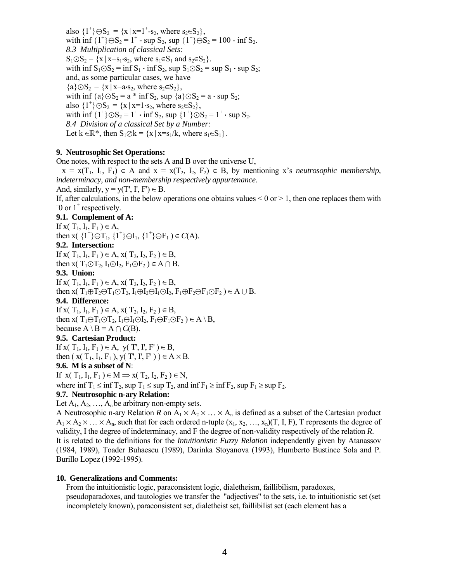also  $\{1^+\}\Theta S_2 = \{x \mid x=1^+ - s_2, \text{ where } s_2 \in S_2\},\$ with  $\inf \{1^+\}\Theta S_2 = 1^+$  - sup  $S_2$ , sup  $\{1^+\}\Theta S_2 = 100$  -  $\inf S_2$ . *8.3 Multiplication of classical Sets:*   $S_1 \text{OS}_2 = \{x \mid x = s_1 \cdot s_2, \text{ where } s_1 \in S_1 \text{ and } s_2 \in S_2\}.$ with inf  $S_1 \text{OS}_2 = \inf S_1 \cdot \inf S_2$ , sup  $S_1 \text{OS}_2 = \sup S_1 \cdot \sup S_2$ ; and, as some particular cases, we have  ${a}$   $\odot$  S<sub>2</sub> = {x | x=a·s<sub>2</sub>, where s<sub>2</sub> \emptys<sub>2</sub>}, with inf  $\{a\} \odot S_2 = a * \inf S_2$ , sup  $\{a\} \odot S_2 = a \cdot \sup S_2$ ; also  $\{1^+\}\odot S_2 = \{x \mid x=1 \cdot s_2, \text{ where } s_2 \in S_2\},\$ with inf  $\{1^+\} \text{OS}_2 = 1^+ \cdot \inf \text{S}_2$ , sup  $\{1^+\} \text{OS}_2 = 1^+ \cdot \sup \text{S}_2$ . *8.4 Division of a classical Set by a Number:*  Let  $k \in \mathbb{R}^*$ , then  $S_1 \oslash k = \{x \mid x = s_1/k\}$ , where  $s_1 \in S_1$ .

### **9. Neutrosophic Set Operations:**

One notes, with respect to the sets A and B over the universe U,

 $x = x(T_1, I_1, F_1) \in A$  and  $x = x(T_2, I_2, F_2) \in B$ , by mentioning x's *neutrosophic membership*, *indeterminacy, and non-membership respectively appurtenance*.

And, similarly,  $y = y(T, I', F') \in B$ .

If, after calculations, in the below operations one obtains values  $< 0$  or  $> 1$ , then one replaces them with  $\overline{0}$  or  $1^+$  respectively.

### **9.1. Complement of A:**

If  $x(T_1, I_1, F_1) \in A$ , then  $x({1}^{+})\Theta T_1, {1}^{+}\Theta I_1, {1}^{+}\Theta F_1) \in C(A)$ .

# **9.2. Intersection:**

If  $x(T_1, I_1, F_1) \in A$ ,  $x(T_2, I_2, F_2) \in B$ , then x( $T_1 \odot T_2$ ,  $I_1 \odot I_2$ ,  $F_1 \odot F_2$ )  $\in A \cap B$ .

#### **9.3. Union:**

If  $x(T_1, I_1, F_1) \in A$ ,  $x(T_2, I_2, F_2) \in B$ , then  $x(T_1 \oplus T_2 \ominus T_1 \odot T_2, I_1 \oplus I_2 \ominus I_1 \odot I_2, F_1 \oplus F_2 \ominus F_1 \odot F_2) \in A \cup B$ . **9.4. Difference:**  If  $x(T_1, I_1, F_1) \in A$ ,  $x(T_2, I_2, F_2) \in B$ ,

then  $x(T_1 \ominus T_1 \odot T_2, I_1 \ominus I_1 \odot I_2, F_1 \ominus F_1 \odot F_2) \in A \setminus B$ ,

# because  $A \setminus B = A \cap C(B)$ .

# **9.5. Cartesian Product:**

If  $x(T_1, I_1, F_1) \in A$ ,  $y(T, I', F') \in B$ , then  $(x(T_1, I_1, F_1), y(T', I', F')) \in A \times B$ .

#### **9.6. M is a subset of N**:

If  $x(T_1, I_1, F_1) \in M \implies x(T_2, I_2, F_2) \in N$ ,

where inf  $T_1 \le \inf T_2$ , sup  $T_1 \le \sup T_2$ , and inf  $F_1 \ge \inf F_2$ , sup  $F_1 \ge \sup F_2$ .

# **9.7. Neutrosophic n-ary Relation:**

Let  $A_1, A_2, ..., A_n$  be arbitrary non-empty sets.

A Neutrosophic n-ary Relation *R* on  $A_1 \times A_2 \times ... \times A_n$  is defined as a subset of the Cartesian product  $A_1 \times A_2 \times ... \times A_n$ , such that for each ordered n-tuple  $(x_1, x_2, ..., x_n)(T, I, F)$ , T represents the degree of validity, I the degree of indeterminacy, and F the degree of non-validity respectively of the relation *R*. It is related to the definitions for the *Intuitionistic Fuzzy Relation* independently given by Atanassov (1984, 1989), Toader Buhaescu (1989), Darinka Stoyanova (1993), Humberto Bustince Sola and P. Burillo Lopez (1992-1995).

### **10. Generalizations and Comments:**

From the intuitionistic logic, paraconsistent logic, dialetheism, faillibilism, paradoxes, pseudoparadoxes, and tautologies we transfer the "adjectives" to the sets, i.e. to intuitionistic set (set incompletely known), paraconsistent set, dialetheist set, faillibilist set (each element has a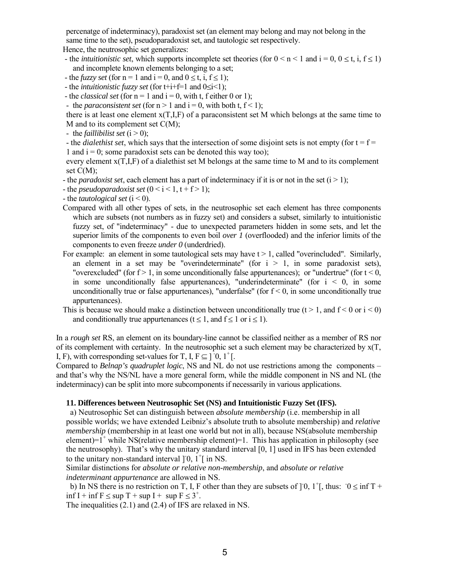percenatge of indeterminacy), paradoxist set (an element may belong and may not belong in the same time to the set), pseudoparadoxist set, and tautologic set respectively.

Hence, the neutrosophic set generalizes:

- the *intuitionistic set*, which supports incomplete set theories (for  $0 \le n \le 1$  and  $i = 0, 0 \le t, i, f \le 1$ ) and incomplete known elements belonging to a set;
- the *fuzzy set* (for  $n = 1$  and  $i = 0$ , and  $0 \le t$ , i,  $f \le 1$ );
- the *intuitionistic fuzzy set* (for  $t+i+f=1$  and  $0 \le i \le 1$ );
- the *classical set* (for  $n = 1$  and  $i = 0$ , with t, f either 0 or 1);
- the *paraconsistent set* (for  $n > 1$  and  $i = 0$ , with both t,  $f < 1$ );

there is at least one element  $x(T, I, F)$  of a paraconsistent set M which belongs at the same time to M and to its complement set C(M);

- the *faillibilist set*  $(i > 0)$ ;

- the *dialethist set*, which says that the intersection of some disjoint sets is not empty (for  $t = f =$ 1 and  $i = 0$ ; some paradoxist sets can be denoted this way too);

every element  $x(T,I,F)$  of a dialethist set M belongs at the same time to M and to its complement set  $C(M)$ ;

- the *paradoxist set*, each element has a part of indeterminacy if it is or not in the set  $(i > 1)$ ;
- the *pseudoparadoxist set*  $(0 \le i \le 1, t + f \ge 1)$ ;
- the *tautological set*  $(i < 0)$ .
- Compared with all other types of sets, in the neutrosophic set each element has three components which are subsets (not numbers as in fuzzy set) and considers a subset, similarly to intuitionistic fuzzy set, of "indeterminacy" - due to unexpected parameters hidden in some sets, and let the superior limits of the components to even boil *over 1* (overflooded) and the inferior limits of the components to even freeze *under 0* (underdried).
- For example: an element in some tautological sets may have  $t > 1$ , called "overincluded". Similarly, an element in a set may be "overindeterminate" (for  $i > 1$ , in some paradoxist sets), "overexcluded" (for  $f > 1$ , in some unconditionally false appurtenances); or "undertrue" (for  $t < 0$ , in some unconditionally false appurtenances), "underindeterminate" (for  $i < 0$ , in some unconditionally true or false appurtenances), "underfalse" (for  $f < 0$ , in some unconditionally true appurtenances).
- This is because we should make a distinction between unconditionally true (t > 1, and  $f < 0$  or  $i < 0$ ) and conditionally true appurtenances ( $t \le 1$ , and  $f \le 1$  or  $i \le 1$ ).

In a *rough set* RS, an element on its boundary-line cannot be classified neither as a member of RS nor of its complement with certainty. In the neutrosophic set a such element may be characterized by  $x(T, \theta)$ I, F), with corresponding set-values for T, I,  $F \subseteq ]0, 1^+[$ .

Compared to *Belnap's quadruplet logic*, NS and NL do not use restrictions among the components – and that's why the NS/NL have a more general form, while the middle component in NS and NL (the indeterminacy) can be split into more subcomponents if necessarily in various applications.

#### **11. Differences between Neutrosophic Set (NS) and Intuitionistic Fuzzy Set (IFS).**

 a) Neutrosophic Set can distinguish between *absolute membership* (i.e. membership in all possible worlds; we have extended Leibniz's absolute truth to absolute membership) and *relative membership* (membership in at least one world but not in all), because NS(absolute membership element)= $1^+$  while NS(relative membership element)=1. This has application in philosophy (see the neutrosophy). That's why the unitary standard interval [0, 1] used in IFS has been extended to the unitary non-standard interval  $]$ <sup>-0</sup>,  $1$ <sup>+</sup> $[$  in NS.

Similar distinctions for *absolute or relative non-membership*, and *absolute or relative indeterminant appurtenance* are allowed in NS.

b) In NS there is no restriction on T, I, F other than they are subsets of  $]0, 1^{\dagger}$ , thus:  $0 \le \inf T +$  $\inf I + \inf F \leq \sup T + \sup I + \sup F \leq 3^+$ .

The inequalities (2.1) and (2.4) of IFS are relaxed in NS.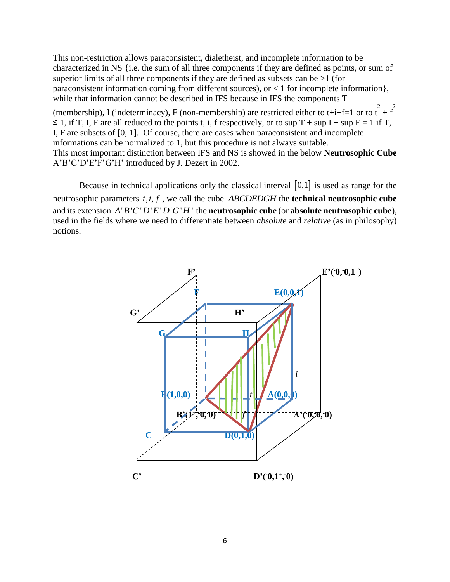This non-restriction allows paraconsistent, dialetheist, and incomplete information to be characterized in NS {i.e. the sum of all three components if they are defined as points, or sum of superior limits of all three components if they are defined as subsets can be  $>1$  (for paraconsistent information coming from different sources), or  $\lt 1$  for incomplete information}, while that information cannot be described in IFS because in IFS the components T

(membership), I (indeterminacy), F (non-membership) are restricted either to t+i+f=1 or to  $t^2 + f^2$  $\leq$  1, if T, I, F are all reduced to the points t, i, f respectively, or to sup T + sup I + sup F = 1 if T, I, F are subsets of [0, 1]. Of course, there are cases when paraconsistent and incomplete informations can be normalized to 1, but this procedure is not always suitable. This most important distinction between IFS and NS is showed in the below **Neutrosophic Cube** A'B'C'D'E'F'G'H' introduced by J. Dezert in 2002.

Because in technical applications only the classical interval  $[0,1]$  is used as range for the neutrosophic parameters  $t, i, f$ , we call the cube *ABCDEDGH* the **technical neutrosophic cube** and its extension  $A'B'C'D'E'D'G'H'$  the **neutrosophic cube** (or **absolute neutrosophic cube**), used in the fields where we need to differentiate between *absolute* and *relative* (as in philosophy) notions.

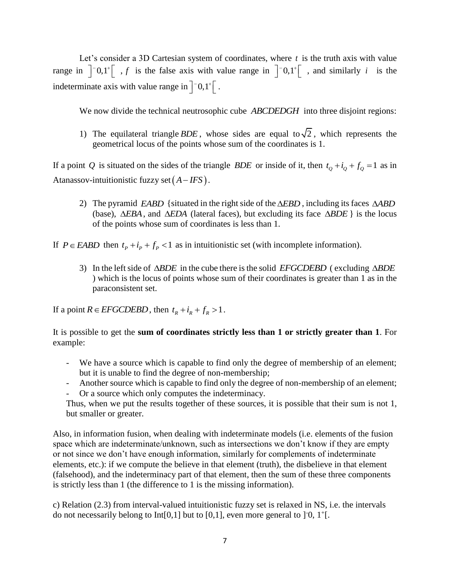Let's consider a 3D Cartesian system of coordinates, where t is the truth axis with value range in  $\left[ \begin{array}{c} -0.1 \end{array} \right]$  *f* is the false axis with value range in  $\left[ \begin{array}{c} -0.1 \end{array} \right]$  and similarly *i* is the indeterminate axis with value range in  $\overline{\phantom{a}}$   $\overline{\phantom{a}}$   $\overline{\phantom{a}}$  .

We now divide the technical neutrosophic cube *ABCDEDGH* into three disjoint regions:

1) The equilateral triangle *BDE*, whose sides are equal to  $\sqrt{2}$ , which represents the geometrical locus of the points whose sum of the coordinates is 1.

If a point Q is situated on the sides of the triangle *BDE* or inside of it, then  $t_0 + t_0 + f_0 = 1$  as in Atanassov-intuitionistic fuzzy set  $(A - IFS)$ .

- 2) The pyramid *EABD* {situated in the right side of the  $\triangle EBD$ , including its faces  $\triangle ABD$ (base),  $\triangle EBA$ , and  $\triangle EDA$  (lateral faces), but excluding its face  $\triangle BDE$  } is the locus of the points whose sum of coordinates is less than 1.
- If  $P \in EABD$  then  $t_p + i_p + f_p < 1$  as in intuitionistic set (with incomplete information).
	- 3) In the left side of  $\triangle BDE$  in the cube there is the solid *EFGCDEBD* (excluding  $\triangle BDE$ ) which is the locus of points whose sum of their coordinates is greater than 1 as in the paraconsistent set.

If a point  $R \in EFGCDEBD$ , then  $t_R + t_R + f_R > 1$ .

It is possible to get the **sum of coordinates strictly less than 1 or strictly greater than 1**. For example:

- We have a source which is capable to find only the degree of membership of an element; but it is unable to find the degree of non-membership;
- Another source which is capable to find only the degree of non-membership of an element;
- Or a source which only computes the indeterminacy.

Thus, when we put the results together of these sources, it is possible that their sum is not 1, but smaller or greater.

Also, in information fusion, when dealing with indeterminate models (i.e. elements of the fusion space which are indeterminate/unknown, such as intersections we don't know if they are empty or not since we don't have enough information, similarly for complements of indeterminate elements, etc.): if we compute the believe in that element (truth), the disbelieve in that element (falsehood), and the indeterminacy part of that element, then the sum of these three components is strictly less than 1 (the difference to 1 is the missing information).

c) Relation (2.3) from interval-valued intuitionistic fuzzy set is relaxed in NS, i.e. the intervals do not necessarily belong to Int[0,1] but to [0,1], even more general to  $]$  0,  $1^+$ [.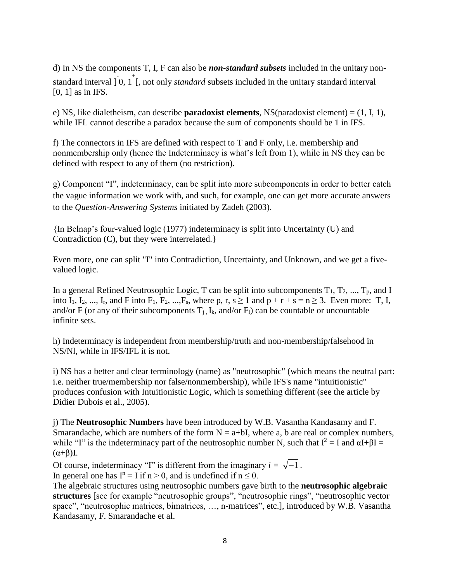d) In NS the components T, I, F can also be *non-standard subsets* included in the unitary nonstandard interval  $\overline{0}0, 1^{\dagger}$ , not only *standard* subsets included in the unitary standard interval [0, 1] as in IFS.

e) NS, like dialetheism, can describe **paradoxist elements**, NS(paradoxist element) = (1, I, 1), while IFL cannot describe a paradox because the sum of components should be 1 in IFS.

f) The connectors in IFS are defined with respect to T and F only, i.e. membership and nonmembership only (hence the Indeterminacy is what's left from 1), while in NS they can be defined with respect to any of them (no restriction).

g) Component "I", indeterminacy, can be split into more subcomponents in order to better catch the vague information we work with, and such, for example, one can get more accurate answers to the *Question-Answering Systems* initiated by Zadeh (2003).

{In Belnap's four-valued logic (1977) indeterminacy is split into Uncertainty (U) and Contradiction (C), but they were interrelated.}

Even more, one can split "I" into Contradiction, Uncertainty, and Unknown, and we get a fivevalued logic.

In a general Refined Neutrosophic Logic, T can be split into subcomponents  $T_1, T_2, ..., T_p$ , and I into  $I_1, I_2, \ldots, I_r$ , and F into  $F_1, F_2, \ldots, F_s$ , where p, r, s  $\geq 1$  and p + r + s = n  $\geq 3$ . Even more: T, I, and/or F (or any of their subcomponents  $T_i$ ,  $I_k$ , and/or  $F_l$ ) can be countable or uncountable infinite sets.

h) Indeterminacy is independent from membership/truth and non-membership/falsehood in NS/Nl, while in IFS/IFL it is not.

i) NS has a better and clear terminology (name) as "neutrosophic" (which means the neutral part: i.e. neither true/membership nor false/nonmembership), while IFS's name "intuitionistic" produces confusion with Intuitionistic Logic, which is something different (see the article by Didier Dubois et al., 2005).

j) The **Neutrosophic Numbers** have been introduced by W.B. Vasantha Kandasamy and F. Smarandache, which are numbers of the form  $N = a+bI$ , where a, b are real or complex numbers, while "I" is the indeterminacy part of the neutrosophic number N, such that  $I^2 = I$  and  $\alpha I + \beta I =$  $(\alpha+\beta)I$ .

Of course, indeterminacy "I" is different from the imaginary  $i = \sqrt{-1}$ .

In general one has  $I^n = I$  if  $n > 0$ , and is undefined if  $n \le 0$ .

The algebraic structures using neutrosophic numbers gave birth to the **neutrosophic algebraic structures** [see for example "neutrosophic groups", "neutrosophic rings", "neutrosophic vector space", "neutrosophic matrices, bimatrices, …, n-matrices", etc.], introduced by W.B. Vasantha Kandasamy, F. Smarandache et al.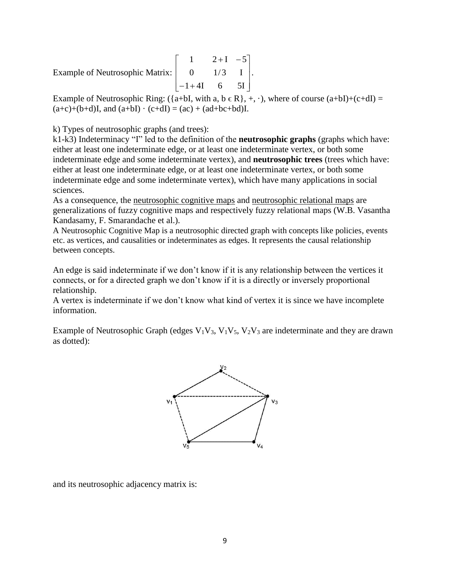Example of Neutrosophic Matrix:  $\overline{\phantom{a}}$  $\overline{\phantom{a}}$  $\overline{\phantom{a}}$ J  $\overline{\phantom{a}}$  $\mathbf{r}$ L L L L  $-1+$  $+1 1+4I$  6 5I  $0 \t 1/3 \t I$ 1  $2+I$   $-5$ .

Example of Neutrosophic Ring: ({a+bI, with a, b  $\in$  R}, +, ·), where of course (a+bI)+(c+dI) =  $(a+c)+(b+d)I$ , and  $(a+bI) \cdot (c+dI) = (ac) + (ad+bc+bd)I$ .

k) Types of neutrosophic graphs (and trees):

k1-k3) Indeterminacy "I" led to the definition of the **neutrosophic graphs** (graphs which have: either at least one indeterminate edge, or at least one indeterminate vertex, or both some indeterminate edge and some indeterminate vertex), and **neutrosophic trees** (trees which have: either at least one indeterminate edge, or at least one indeterminate vertex, or both some indeterminate edge and some indeterminate vertex), which have many applications in social sciences.

As a consequence, the neutrosophic cognitive maps and neutrosophic relational maps are generalizations of fuzzy cognitive maps and respectively fuzzy relational maps (W.B. Vasantha Kandasamy, F. Smarandache et al.).

A Neutrosophic Cognitive Map is a neutrosophic directed graph with concepts like policies, events etc. as vertices, and causalities or indeterminates as edges. It represents the causal relationship between concepts.

An edge is said indeterminate if we don't know if it is any relationship between the vertices it connects, or for a directed graph we don't know if it is a directly or inversely proportional relationship.

A vertex is indeterminate if we don't know what kind of vertex it is since we have incomplete information.

Example of Neutrosophic Graph (edges  $V_1V_3$ ,  $V_1V_5$ ,  $V_2V_3$  are indeterminate and they are drawn as dotted):



and its neutrosophic adjacency matrix is: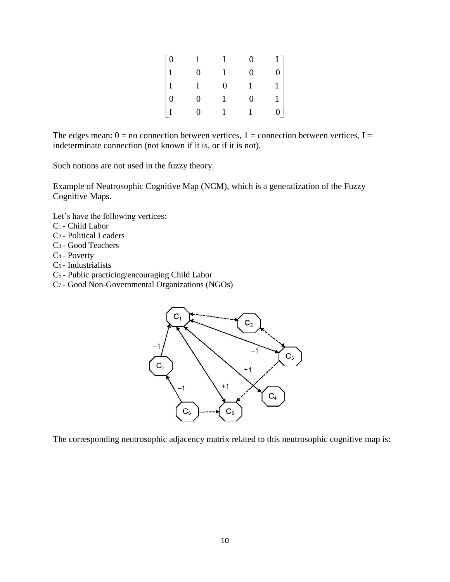|                                                                                     |                |   | 0              | $\begin{bmatrix} 1 \\ 0 \end{bmatrix}$ |
|-------------------------------------------------------------------------------------|----------------|---|----------------|----------------------------------------|
|                                                                                     | $\theta$       |   | $\overline{0}$ |                                        |
| $\begin{bmatrix} 0 \ 1 \ 1 \end{bmatrix}$ $\begin{bmatrix} 0 \ 0 \ 1 \end{bmatrix}$ |                | 0 |                | $\begin{matrix} 1 \end{matrix}$        |
|                                                                                     | $\overline{0}$ |   | $\overline{0}$ | $\begin{matrix} 1 \ 0 \end{matrix}$    |
|                                                                                     | 0              |   |                |                                        |

The edges mean:  $0 = no$  connection between vertices,  $1 =$  connection between vertices,  $I =$ indeterminate connection (not known if it is, or if it is not).

Such notions are not used in the fuzzy theory.

Example of Neutrosophic Cognitive Map (NCM), which is a generalization of the Fuzzy Cognitive Maps.

Let's have the following vertices:

- C1 Child Labor
- C2 Political Leaders
- C3 Good Teachers
- C4 Poverty
- C5 Industrialists
- C6 Public practicing/encouraging Child Labor
- C7 Good Non-Governmental Organizations (NGOs)



The corresponding neutrosophic adjacency matrix related to this neutrosophic cognitive map is: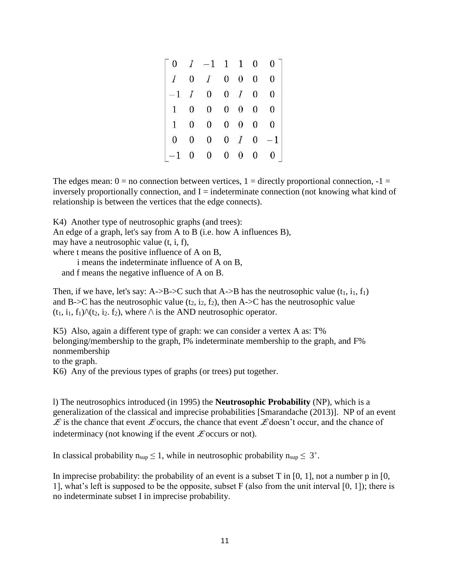|  | $\begin{bmatrix} 0 & I & -1 & 1 & 1 & 0 & 0 \ I & 0 & I & 0 & 0 & 0 \ -1 & I & 0 & 0 & I & 0 & 0 \end{bmatrix}$ |                |                  |
|--|-----------------------------------------------------------------------------------------------------------------|----------------|------------------|
|  | $\begin{array}{cccccccc} 1 & 0 & 0 & 0 & 0 & 0 & 0 \\ 1 & 0 & 0 & 0 & 0 & 0 & 0 \\ \end{array}$                 |                |                  |
|  |                                                                                                                 |                |                  |
|  |                                                                                                                 |                | $0$ $I$ $0$ $-1$ |
|  |                                                                                                                 | 0 <sup>1</sup> | $0 \quad 0$      |

The edges mean:  $0 = no$  connection between vertices,  $1 =$  directly proportional connection,  $-1 =$ inversely proportionally connection, and  $I =$  indeterminate connection (not knowing what kind of relationship is between the vertices that the edge connects).

K4) Another type of neutrosophic graphs (and trees):

An edge of a graph, let's say from A to B (i.e. how A influences B),

may have a neutrosophic value (t, i, f),

where t means the positive influence of A on B,

i means the indeterminate influence of A on B,

and f means the negative influence of A on B.

Then, if we have, let's say: A- $\geq$ B- $\geq$ C such that A- $\geq$ B has the neutrosophic value (t<sub>1</sub>, i<sub>1</sub>, f<sub>1</sub>) and B- $\geq$ C has the neutrosophic value (t<sub>2</sub>, i<sub>2</sub>, f<sub>2</sub>), then A- $\geq$ C has the neutrosophic value  $(t_1, i_1, f_1) \wedge (t_2, i_2, f_2)$ , where  $\wedge$  is the AND neutrosophic operator.

K5) Also, again a different type of graph: we can consider a vertex A as: T% belonging/membership to the graph, I% indeterminate membership to the graph, and F% nonmembership to the graph.

K6) Any of the previous types of graphs (or trees) put together.

l) The neutrosophics introduced (in 1995) the **Neutrosophic Probability** (NP), which is a generalization of the classical and imprecise probabilities [Smarandache (2013)]. NP of an event  $\mathcal{\tilde{E}}$  is the chance that event  $\mathcal{\tilde{E}}$  occurs, the chance that event  $\mathcal{\tilde{E}}$  doesn't occur, and the chance of indeterminacy (not knowing if the event  $\mathcal{E}$  occurs or not).

In classical probability  $n_{\text{sup}} \leq 1$ , while in neutrosophic probability  $n_{\text{sup}} \leq 3^+$ .

In imprecise probability: the probability of an event is a subset  $T$  in [0, 1], not a number p in [0, 1], what's left is supposed to be the opposite, subset F (also from the unit interval [0, 1]); there is no indeterminate subset I in imprecise probability.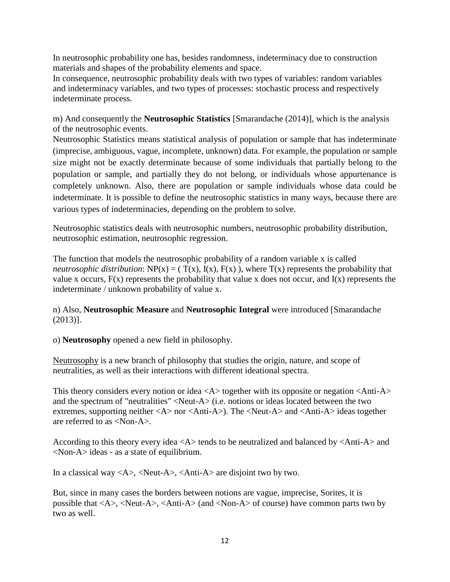In neutrosophic probability one has, besides randomness, indeterminacy due to construction materials and shapes of the probability elements and space.

In consequence, neutrosophic probability deals with two types of variables: random variables and indeterminacy variables, and two types of processes: stochastic process and respectively indeterminate process.

m) And consequently the **Neutrosophic Statistics** [Smarandache (2014)], which is the analysis of the neutrosophic events.

Neutrosophic Statistics means statistical analysis of population or sample that has indeterminate (imprecise, ambiguous, vague, incomplete, unknown) data. For example, the population or sample size might not be exactly determinate because of some individuals that partially belong to the population or sample, and partially they do not belong, or individuals whose appurtenance is completely unknown. Also, there are population or sample individuals whose data could be indeterminate. It is possible to define the neutrosophic statistics in many ways, because there are various types of indeterminacies, depending on the problem to solve.

Neutrosophic statistics deals with neutrosophic numbers, neutrosophic probability distribution, neutrosophic estimation, neutrosophic regression.

The function that models the neutrosophic probability of a random variable x is called *neutrosophic distribution*:  $NP(x) = (T(x), I(x), F(x))$ , where  $T(x)$  represents the probability that value x occurs,  $F(x)$  represents the probability that value x does not occur, and  $I(x)$  represents the indeterminate / unknown probability of value x.

n) Also, **Neutrosophic Measure** and **Neutrosophic Integral** were introduced [Smarandache (2013)].

o) **Neutrosophy** opened a new field in philosophy.

Neutrosophy is a new branch of philosophy that studies the origin, nature, and scope of neutralities, as well as their interactions with different ideational spectra.

This theory considers every notion or idea <A> together with its opposite or negation <Anti-A> and the spectrum of "neutralities" <Neut-A> (i.e. notions or ideas located between the two extremes, supporting neither <A> nor <Anti-A>). The <Neut-A> and <Anti-A> ideas together are referred to as <Non-A>.

According to this theory every idea <A> tends to be neutralized and balanced by <Anti-A> and <Non-A> ideas - as a state of equilibrium.

In a classical way  $\langle A \rangle$ ,  $\langle Neut-A \rangle$ ,  $\langle Anti-A \rangle$  are disjoint two by two.

But, since in many cases the borders between notions are vague, imprecise, Sorites, it is possible that <A>, <Neut-A>, <Anti-A> (and <Non-A> of course) have common parts two by two as well.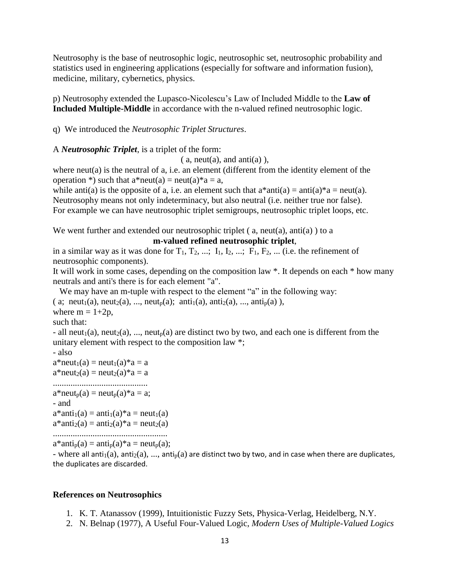Neutrosophy is the base of neutrosophic logic, neutrosophic set, neutrosophic probability and statistics used in engineering applications (especially for software and information fusion), medicine, military, cybernetics, physics.

p) Neutrosophy extended the Lupasco-Nicolescu's Law of Included Middle to the **Law of Included Multiple-Middle** in accordance with the n-valued refined neutrosophic logic.

q) We introduced the *Neutrosophic Triplet Structures*.

A *Neutrosophic Triplet*, is a triplet of the form:

 $(a, neut(a), and anti(a)),$ 

where  $neut(a)$  is the neutral of a, i.e. an element (different from the identity element of the operation \*) such that  $a^*$  neut(a) = neut(a)  $a = a$ ,

while anti(a) is the opposite of a, i.e. an element such that  $a^*$  anti(a) = anti(a)\* $a =$ neut(a). Neutrosophy means not only indeterminacy, but also neutral (i.e. neither true nor false). For example we can have neutrosophic triplet semigroups, neutrosophic triplet loops, etc.

We went further and extended our neutrosophic triplet ( $a$ , neut( $a$ ), anti $(a)$ ) to  $a$ 

# **m-valued refined neutrosophic triplet**,

in a similar way as it was done for  $T_1, T_2, \ldots; T_1, I_2, \ldots; F_1, F_2, \ldots$  (i.e. the refinement of neutrosophic components).

It will work in some cases, depending on the composition law \*. It depends on each \* how many neutrals and anti's there is for each element "a".

We may have an m-tuple with respect to the element "a" in the following way:

( a; neut<sub>1</sub>(a), neut<sub>2</sub>(a), ..., neut<sub>p</sub>(a); anti<sub>1</sub>(a), anti<sub>2</sub>(a), ..., anti<sub>p</sub>(a)),

where  $m = 1+2p$ ,

such that:

- all neut<sub>1</sub>(a), neut<sub>2</sub>(a), ..., neut<sub>p</sub>(a) are distinct two by two, and each one is different from the unitary element with respect to the composition law \*;

- also  $a^*$ neut<sub>1</sub>(a) = neut<sub>1</sub>(a)  $a^*a = a$  $a^*$ neut<sub>2</sub>(a) = neut<sub>2</sub>(a)  $a^*a = a$ ...........................................  $a^*$ neut<sub>p</sub> $(a)$  = neut<sub>p</sub> $(a)^*a$  = a; - and  $a^*$ anti<sub>1</sub>(a) = anti<sub>1</sub>(a)<sup>\*</sup>a = neut<sub>1</sub>(a)  $a^*$ anti<sub>2</sub>(a) = anti<sub>2</sub>(a)  $a^*$  = neut<sub>2</sub>(a)

....................................................  $a^*$ anti<sub>p</sub>(a) = anti<sub>p</sub>(a)<sup>\*</sup>a = neut<sub>p</sub>(a);

- where all anti<sub>1</sub>(a), anti<sub>2</sub>(a), ..., anti<sub>p</sub>(a) are distinct two by two, and in case when there are duplicates, the duplicates are discarded.

# **References on Neutrosophics**

- 1. K. T. Atanassov (1999), Intuitionistic Fuzzy Sets, Physica-Verlag, Heidelberg, N.Y.
- 2. N. Belnap (1977), A Useful Four-Valued Logic, *Modern Uses of Multiple-Valued Logics*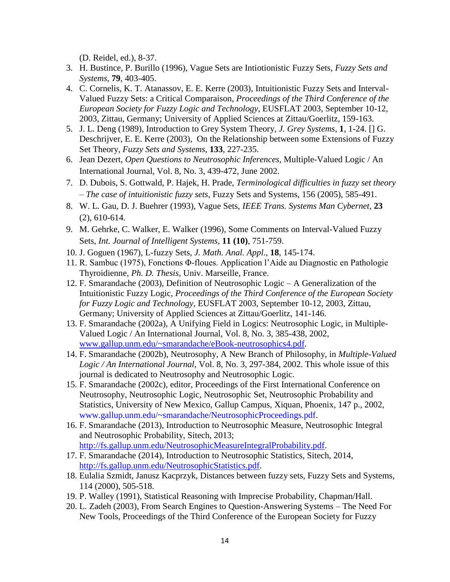(D. Reidel, ed.), 8-37.

- 3. H. Bustince, P. Burillo (1996), Vague Sets are Intiotionistic Fuzzy Sets, *Fuzzy Sets and Systems*, **79**, 403-405.
- 4. C. Cornelis, K. T. Atanassov, E. E. Kerre (2003), Intuitionistic Fuzzy Sets and Interval-Valued Fuzzy Sets: a Critical Comparaison, *Proceedings of the Third Conference of the European Society for Fuzzy Logic and Technology*, EUSFLAT 2003, September 10-12, 2003, Zittau, Germany; University of Applied Sciences at Zittau/Goerlitz, 159-163.
- 5. J. L. Deng (1989), Introduction to Grey System Theory, *J. Grey Systems*, **1**, 1-24. [] G. Deschrijver, E. E. Kerre (2003), On the Relationship between some Extensions of Fuzzy Set Theory, *Fuzzy Sets and Systems*, **133**, 227-235.
- 6. Jean Dezert, *Open Questions to Neutrosophic Inferences,* Multiple-Valued Logic / An International Journal, Vol. 8, No. 3, 439-472, June 2002.
- 7. D. Dubois, S. Gottwald, P. Hajek, H. Prade, *Terminological difficulties in fuzzy set theory – The case of intuitionistic fuzzy sets*, Fuzzy Sets and Systems, 156 (2005), 585-491.
- 8. W. L. Gau, D. J. Buehrer (1993), Vague Sets, *IEEE Trans. Systems Man Cybernet*, **23** (2), 610-614.
- 9. M. Gehrke, C. Walker, E. Walker (1996), Some Comments on Interval-Valued Fuzzy Sets, *Int. Journal of Intelligent Systems*, **11 (10)**, 751-759.
- 10. J. Goguen (1967), L-fuzzy Sets, *J. Math. Anal. Appl.*, **18**, 145-174.
- 11. R. Sambuc (1975), Fonctions Φ-floues. Application l'Aide au Diagnostic en Pathologie Thyroidienne, *Ph. D. Thesis*, Univ. Marseille, France.
- 12. F. Smarandache (2003), Definition of Neutrosophic Logic A Generalization of the Intuitionistic Fuzzy Logic, *Proceedings of the Third Conference of the European Society for Fuzzy Logic and Technology*, EUSFLAT 2003, September 10-12, 2003, Zittau, Germany; University of Applied Sciences at Zittau/Goerlitz, 141-146.
- 13. F. Smarandache (2002a), A Unifying Field in Logics: Neutrosophic Logic, in Multiple-Valued Logic / An International Journal, Vol. 8, No. 3, 385-438, 2002, [www.gallup.unm.edu/~smarandache/eBook-neutrosophics4.pdf.](http://www.gallup.unm.edu/~smarandache/eBook-neutrosophics4.pdf)
- 14. F. Smarandache (2002b), Neutrosophy, A New Branch of Philosophy, in *Multiple-Valued Logic / An International Journal*, Vol. 8, No. 3, 297-384, 2002. This whole issue of this journal is dedicated to Neutrosophy and Neutrosophic Logic.
- 15. F. Smarandache (2002c), editor, Proceedings of the First International Conference on Neutrosophy, Neutrosophic Logic, Neutrosophic Set, Neutrosophic Probability and Statistics, University of New Mexico, Gallup Campus, Xiquan, Phoenix, 147 p., 2002, www.gallup.unm.edu/~smarandache/NeutrosophicProceedings.pdf.
- 16. F. Smarandache (2013), Introduction to Neutrosophic Measure, Neutrosophic Integral and Neutrosophic Probability, Sitech, 2013; [http://fs.gallup.unm.edu/NeutrosophicMeasureIntegralProbability.pdf.](http://fs.gallup.unm.edu/NeutrosophicMeasureIntegralProbability.pdf)
- 17. F. Smarandache (2014), Introduction to Neutrosophic Statistics, Sitech, 2014, [http://fs.gallup.unm.edu/NeutrosophicStatistics.pdf.](http://fs.gallup.unm.edu/NeutrosophicStatistics.pdf)
- 18. Eulalia Szmidt, Janusz Kacprzyk, Distances between fuzzy sets, Fuzzy Sets and Systems, 114 (2000), 505-518.
- 19. P. Walley (1991), Statistical Reasoning with Imprecise Probability, Chapman/Hall.
- 20. L. Zadeh (2003), From Search Engines to Question-Answering Systems The Need For New Tools, Proceedings of the Third Conference of the European Society for Fuzzy